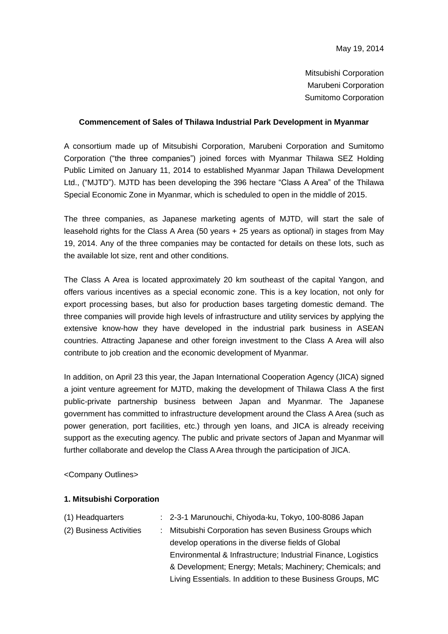Mitsubishi Corporation Marubeni Corporation Sumitomo Corporation

## **Commencement of Sales of Thilawa Industrial Park Development in Myanmar**

A consortium made up of Mitsubishi Corporation, Marubeni Corporation and Sumitomo Corporation ("the three companies") joined forces with Myanmar Thilawa SEZ Holding Public Limited on January 11, 2014 to established Myanmar Japan Thilawa Development Ltd., ("MJTD"). MJTD has been developing the 396 hectare "Class A Area" of the Thilawa Special Economic Zone in Myanmar, which is scheduled to open in the middle of 2015.

The three companies, as Japanese marketing agents of MJTD, will start the sale of leasehold rights for the Class A Area (50 years + 25 years as optional) in stages from May 19, 2014. Any of the three companies may be contacted for details on these lots, such as the available lot size, rent and other conditions.

The Class A Area is located approximately 20 km southeast of the capital Yangon, and offers various incentives as a special economic zone. This is a key location, not only for export processing bases, but also for production bases targeting domestic demand. The three companies will provide high levels of infrastructure and utility services by applying the extensive know-how they have developed in the industrial park business in ASEAN countries. Attracting Japanese and other foreign investment to the Class A Area will also contribute to job creation and the economic development of Myanmar.

In addition, on April 23 this year, the Japan International Cooperation Agency (JICA) signed a joint venture agreement for MJTD, making the development of Thilawa Class A the first public-private partnership business between Japan and Myanmar. The Japanese government has committed to infrastructure development around the Class A Area (such as power generation, port facilities, etc.) through yen loans, and JICA is already receiving support as the executing agency. The public and private sectors of Japan and Myanmar will further collaborate and develop the Class A Area through the participation of JICA.

<Company Outlines>

## **1. Mitsubishi Corporation**

| (1) Headquarters        | : 2-3-1 Marunouchi, Chiyoda-ku, Tokyo, 100-8086 Japan         |
|-------------------------|---------------------------------------------------------------|
| (2) Business Activities | : Mitsubishi Corporation has seven Business Groups which      |
|                         | develop operations in the diverse fields of Global            |
|                         | Environmental & Infrastructure; Industrial Finance, Logistics |
|                         | & Development; Energy; Metals; Machinery; Chemicals; and      |
|                         | Living Essentials. In addition to these Business Groups, MC   |